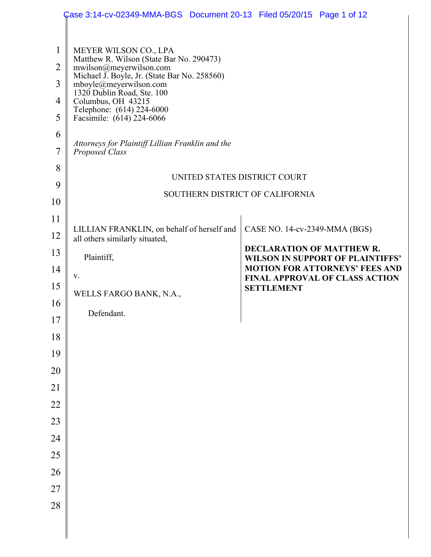|                                                         | Case 3:14-cv-02349-MMA-BGS Document 20-13 Filed 05/20/15 Page 1 of 12                                                                                                                                                                                                                                                                                             |                                                                      |
|---------------------------------------------------------|-------------------------------------------------------------------------------------------------------------------------------------------------------------------------------------------------------------------------------------------------------------------------------------------------------------------------------------------------------------------|----------------------------------------------------------------------|
| $\mathbf{1}$<br>$\overline{2}$<br>3<br>4<br>5<br>6<br>7 | MEYER WILSON CO., LPA<br>Matthew R. Wilson (State Bar No. 290473)<br>mwilson@meyerwilson.com<br>Michael J. Boyle, Jr. (State Bar No. 258560)<br>mboyle@meyerwilson.com<br>1320 Dublin Road, Ste. 100<br>Columbus, OH 43215<br>Telephone: (614) 224-6000<br>Facsimile: (614) 224-6066<br>Attorneys for Plaintiff Lillian Franklin and the<br><b>Proposed Class</b> |                                                                      |
| 8                                                       | UNITED STATES DISTRICT COURT                                                                                                                                                                                                                                                                                                                                      |                                                                      |
| 9                                                       | SOUTHERN DISTRICT OF CALIFORNIA                                                                                                                                                                                                                                                                                                                                   |                                                                      |
| 10                                                      |                                                                                                                                                                                                                                                                                                                                                                   |                                                                      |
| 11<br>12                                                | LILLIAN FRANKLIN, on behalf of herself and<br>all others similarly situated,                                                                                                                                                                                                                                                                                      | CASE NO. 14-cv-2349-MMA (BGS)                                        |
| 13                                                      | Plaintiff,                                                                                                                                                                                                                                                                                                                                                        | DECLARATION OF MATTHEW R.<br><b>WILSON IN SUPPORT OF PLAINTIFFS'</b> |
| 14                                                      | V.                                                                                                                                                                                                                                                                                                                                                                | <b>MOTION FOR ATTORNEYS' FEES AND</b>                                |
| 15                                                      | WELLS FARGO BANK, N.A.,                                                                                                                                                                                                                                                                                                                                           | <b>FINAL APPROVAL OF CLASS ACTION</b><br><b>SETTLEMENT</b>           |
| 16                                                      |                                                                                                                                                                                                                                                                                                                                                                   |                                                                      |
| 17                                                      | Defendant.                                                                                                                                                                                                                                                                                                                                                        |                                                                      |
| 18                                                      |                                                                                                                                                                                                                                                                                                                                                                   |                                                                      |
| 19                                                      |                                                                                                                                                                                                                                                                                                                                                                   |                                                                      |
| 20                                                      |                                                                                                                                                                                                                                                                                                                                                                   |                                                                      |
| 21                                                      |                                                                                                                                                                                                                                                                                                                                                                   |                                                                      |
| 22                                                      |                                                                                                                                                                                                                                                                                                                                                                   |                                                                      |
| 23                                                      |                                                                                                                                                                                                                                                                                                                                                                   |                                                                      |
| 24                                                      |                                                                                                                                                                                                                                                                                                                                                                   |                                                                      |
| 25                                                      |                                                                                                                                                                                                                                                                                                                                                                   |                                                                      |
| 26                                                      |                                                                                                                                                                                                                                                                                                                                                                   |                                                                      |
| $27\,$                                                  |                                                                                                                                                                                                                                                                                                                                                                   |                                                                      |
| 28                                                      |                                                                                                                                                                                                                                                                                                                                                                   |                                                                      |
|                                                         |                                                                                                                                                                                                                                                                                                                                                                   |                                                                      |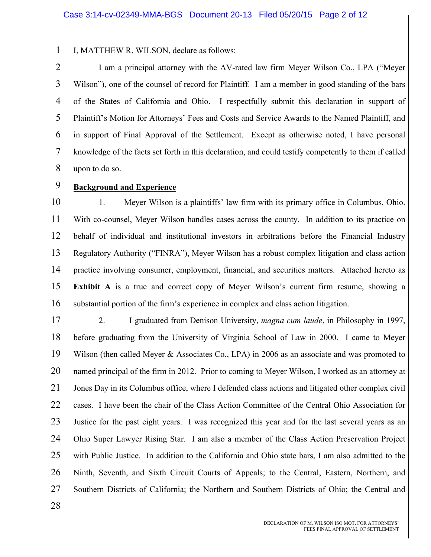I, MATTHEW R. WILSON, declare as follows:

2 3 4 5 6 7 8 I am a principal attorney with the AV-rated law firm Meyer Wilson Co., LPA ("Meyer Wilson"), one of the counsel of record for Plaintiff. I am a member in good standing of the bars of the States of California and Ohio. I respectfully submit this declaration in support of Plaintiff's Motion for Attorneys' Fees and Costs and Service Awards to the Named Plaintiff, and in support of Final Approval of the Settlement. Except as otherwise noted, I have personal knowledge of the facts set forth in this declaration, and could testify competently to them if called upon to do so.

9

1

#### **Background and Experience**

10 11 12 13 14 15 16 1. Meyer Wilson is a plaintiffs' law firm with its primary office in Columbus, Ohio. With co-counsel, Meyer Wilson handles cases across the county. In addition to its practice on behalf of individual and institutional investors in arbitrations before the Financial Industry Regulatory Authority ("FINRA"), Meyer Wilson has a robust complex litigation and class action practice involving consumer, employment, financial, and securities matters. Attached hereto as **Exhibit A** is a true and correct copy of Meyer Wilson's current firm resume, showing a substantial portion of the firm's experience in complex and class action litigation.

17 18 19 20 21 22 23 24 25 26 27 2. I graduated from Denison University, *magna cum laude*, in Philosophy in 1997, before graduating from the University of Virginia School of Law in 2000. I came to Meyer Wilson (then called Meyer & Associates Co., LPA) in 2006 as an associate and was promoted to named principal of the firm in 2012. Prior to coming to Meyer Wilson, I worked as an attorney at Jones Day in its Columbus office, where I defended class actions and litigated other complex civil cases. I have been the chair of the Class Action Committee of the Central Ohio Association for Justice for the past eight years. I was recognized this year and for the last several years as an Ohio Super Lawyer Rising Star. I am also a member of the Class Action Preservation Project with Public Justice. In addition to the California and Ohio state bars, I am also admitted to the Ninth, Seventh, and Sixth Circuit Courts of Appeals; to the Central, Eastern, Northern, and Southern Districts of California; the Northern and Southern Districts of Ohio; the Central and

28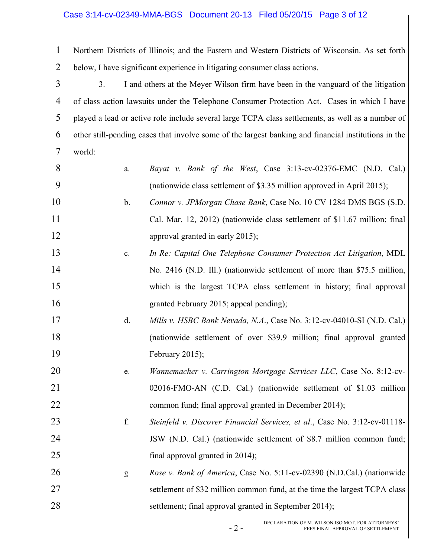#### Case 3:14-cv-02349-MMA-BGS Document 20-13 Filed 05/20/15 Page 3 of 12

1 2 Northern Districts of Illinois; and the Eastern and Western Districts of Wisconsin. As set forth below, I have significant experience in litigating consumer class actions.

3 4 5 6 7 3. I and others at the Meyer Wilson firm have been in the vanguard of the litigation of class action lawsuits under the Telephone Consumer Protection Act. Cases in which I have played a lead or active role include several large TCPA class settlements, as well as a number of other still-pending cases that involve some of the largest banking and financial institutions in the world:

| 8 <sup>1</sup> | <i>Bayat v. Bank of the West</i> , Case $3:13$ -cv-02376-EMC (N.D. Cal.) |
|----------------|--------------------------------------------------------------------------|
| 9 <sup>1</sup> | (nationwide class settlement of \$3.35 million approved in April 2015);  |

10

11

12

13

14

15

16

17

18

19

20

21

22

23

24

25

26

27

28

- b. *Connor v. JPMorgan Chase Bank*, Case No. 10 CV 1284 DMS BGS (S.D. Cal. Mar. 12, 2012) (nationwide class settlement of \$11.67 million; final approval granted in early 2015);
- c. *In Re: Capital One Telephone Consumer Protection Act Litigation*, MDL No. 2416 (N.D. Ill.) (nationwide settlement of more than \$75.5 million, which is the largest TCPA class settlement in history; final approval granted February 2015; appeal pending);
	- d. *Mills v. HSBC Bank Nevada, N.A*., Case No. 3:12-cv-04010-SI (N.D. Cal.) (nationwide settlement of over \$39.9 million; final approval granted February 2015);
- e. *Wannemacher v. Carrington Mortgage Services LLC*, Case No. 8:12-cv-02016-FMO-AN (C.D. Cal.) (nationwide settlement of \$1.03 million common fund; final approval granted in December 2014);
	- f. *Steinfeld v. Discover Financial Services, et al*., Case No. 3:12-cv-01118- JSW (N.D. Cal.) (nationwide settlement of \$8.7 million common fund; final approval granted in 2014);
- g *Rose v. Bank of America*, Case No. 5:11-cv-02390 (N.D.Cal.) (nationwide settlement of \$32 million common fund, at the time the largest TCPA class settlement; final approval granted in September 2014);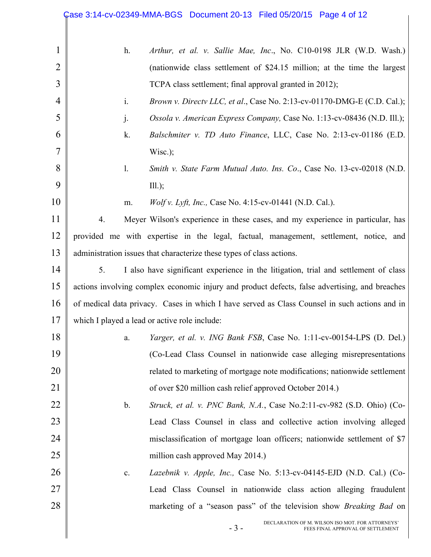|                | Case 3:14-cv-02349-MMA-BGS Document 20-13 Filed 05/20/15 Page 4 of 12                          |
|----------------|------------------------------------------------------------------------------------------------|
|                |                                                                                                |
| $\mathbf{1}$   | Arthur, et al. v. Sallie Mae, Inc., No. C10-0198 JLR (W.D. Wash.)<br>h.                        |
| $\overline{2}$ | (nationwide class settlement of \$24.15 million; at the time the largest                       |
| 3              | TCPA class settlement; final approval granted in 2012);                                        |
| $\overline{4}$ | i.<br>Brown v. Directv LLC, et al., Case No. 2:13-cv-01170-DMG-E (C.D. Cal.);                  |
| 5              | Ossola v. American Express Company, Case No. 1:13-cv-08436 (N.D. Ill.);<br>j.                  |
| 6              | Balschmiter v. TD Auto Finance, LLC, Case No. 2:13-cv-01186 (E.D.<br>k.                        |
| 7              | $Wisc.$ );                                                                                     |
| 8              | $\mathbf{l}$ .<br>Smith v. State Farm Mutual Auto. Ins. Co., Case No. 13-cv-02018 (N.D.        |
| 9              | $III.$ );                                                                                      |
| 10             | Wolf v. Lyft, Inc., Case No. 4:15-cv-01441 (N.D. Cal.).<br>m.                                  |
| 11             | Meyer Wilson's experience in these cases, and my experience in particular, has<br>4.           |
| 12             | provided me with expertise in the legal, factual, management, settlement, notice, and          |
| 13             | administration issues that characterize these types of class actions.                          |
| 14             | I also have significant experience in the litigation, trial and settlement of class<br>5.      |
| 15             | actions involving complex economic injury and product defects, false advertising, and breaches |
| 16             | of medical data privacy. Cases in which I have served as Class Counsel in such actions and in  |
| 17             | which I played a lead or active role include:                                                  |
| 18             | Yarger, et al. v. ING Bank FSB, Case No. 1:11-cv-00154-LPS (D. Del.)<br>a.                     |
| 19             | (Co-Lead Class Counsel in nationwide case alleging misrepresentations                          |
| 20             | related to marketing of mortgage note modifications; nationwide settlement                     |
| 21             | of over \$20 million cash relief approved October 2014.)                                       |
| 22             | $\mathbf b$ .<br>Struck, et al. v. PNC Bank, N.A., Case No.2:11-cv-982 (S.D. Ohio) (Co-        |
| 23             | Lead Class Counsel in class and collective action involving alleged                            |
| 24             | misclassification of mortgage loan officers; nationwide settlement of \$7                      |
| 25             | million cash approved May 2014.)                                                               |
| 26             | Lazebnik v. Apple, Inc., Case No. 5:13-cv-04145-EJD (N.D. Cal.) (Co-<br>c.                     |
| 27             | Lead Class Counsel in nationwide class action alleging fraudulent                              |
| 28             | marketing of a "season pass" of the television show <i>Breaking Bad</i> on                     |
|                | DECLARATION OF M. WILSON ISO MOT. FOR ATTORNEYS'<br>$-3-$<br>FEES FINAL APPROVAL OF SETTLEMENT |
|                |                                                                                                |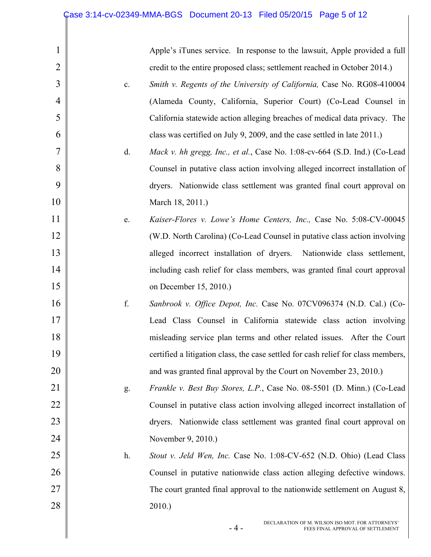$\parallel$ 

|    | Apple's iTunes service. In response to the lawsuit, Apple provided a full         |
|----|-----------------------------------------------------------------------------------|
|    | credit to the entire proposed class; settlement reached in October 2014.)         |
| c. | Smith v. Regents of the University of California, Case No. RG08-410004            |
|    | (Alameda County, California, Superior Court) (Co-Lead Counsel in                  |
|    | California statewide action alleging breaches of medical data privacy. The        |
|    | class was certified on July 9, 2009, and the case settled in late 2011.)          |
| d. | Mack v. hh gregg, Inc., et al., Case No. 1:08-cv-664 (S.D. Ind.) (Co-Lead         |
|    | Counsel in putative class action involving alleged incorrect installation of      |
|    | dryers. Nationwide class settlement was granted final court approval on           |
|    | March 18, 2011.)                                                                  |
| e. | Kaiser-Flores v. Lowe's Home Centers, Inc., Case No. 5:08-CV-00045                |
|    | (W.D. North Carolina) (Co-Lead Counsel in putative class action involving         |
|    | alleged incorrect installation of dryers.<br>Nationwide class settlement,         |
|    | including cash relief for class members, was granted final court approval         |
|    | on December 15, 2010.)                                                            |
| f. | Sanbrook v. Office Depot, Inc. Case No. 07CV096374 (N.D. Cal.) (Co-               |
|    | Lead Class Counsel in California statewide class action involving                 |
|    | misleading service plan terms and other related issues. After the Court           |
|    | certified a litigation class, the case settled for cash relief for class members, |
|    | and was granted final approval by the Court on November 23, 2010.)                |
| g. | <i>Frankle v. Best Buy Stores, L.P.</i> , Case No. 08-5501 (D. Minn.) (Co-Lead    |
|    | Counsel in putative class action involving alleged incorrect installation of      |
|    | dryers. Nationwide class settlement was granted final court approval on           |
|    | November 9, 2010.)                                                                |
| h. | Stout v. Jeld Wen, Inc. Case No. 1:08-CV-652 (N.D. Ohio) (Lead Class              |
|    | Counsel in putative nationwide class action alleging defective windows.           |
|    | The court granted final approval to the nationwide settlement on August 8,        |
|    | $2010.$ )                                                                         |
|    |                                                                                   |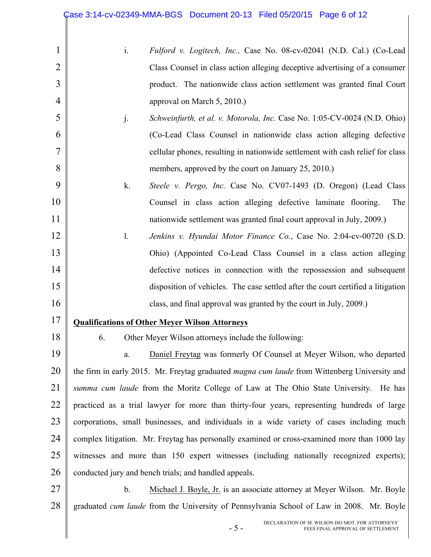|  | Fulford v. Logitech, Inc., Case No. 08-cv-02041 (N.D. Cal.) (Co-Lead       |
|--|----------------------------------------------------------------------------|
|  | Class Counsel in class action alleging deceptive advertising of a consumer |
|  | product. The nationwide class action settlement was granted final Court    |
|  | approval on March $5, 2010$ .)                                             |

- j. *Schweinfurth, et al. v. Motorola, Inc.* Case No. 1:05-CV-0024 (N.D. Ohio) (Co-Lead Class Counsel in nationwide class action alleging defective cellular phones, resulting in nationwide settlement with cash relief for class members, approved by the court on January 25, 2010.)
- k. *Steele v. Pergo, Inc.* Case No. CV07-1493 (D. Oregon) (Lead Class Counsel in class action alleging defective laminate flooring. The nationwide settlement was granted final court approval in July, 2009.)
- l. *Jenkins v. Hyundai Motor Finance Co.*, Case No. 2:04-cv-00720 (S.D. Ohio) (Appointed Co-Lead Class Counsel in a class action alleging defective notices in connection with the repossession and subsequent disposition of vehicles. The case settled after the court certified a litigation class, and final approval was granted by the court in July, 2009.)
- 17 **Qualifications of Other Meyer Wilson Attorneys**
- 18

1

2

3

4

5

6

7

8

9

10

11

12

13

14

15

16

6. Other Meyer Wilson attorneys include the following:

19 20 21 22 23 24 25 26 a. Daniel Freytag was formerly Of Counsel at Meyer Wilson, who departed the firm in early 2015. Mr. Freytag graduated *magna cum laude* from Wittenberg University and *summa cum laude* from the Moritz College of Law at The Ohio State University. He has practiced as a trial lawyer for more than thirty-four years, representing hundreds of large corporations, small businesses, and individuals in a wide variety of cases including much complex litigation. Mr. Freytag has personally examined or cross-examined more than 1000 lay witnesses and more than 150 expert witnesses (including nationally recognized experts); conducted jury and bench trials; and handled appeals.

27 28 b. Michael J. Boyle, Jr. is an associate attorney at Meyer Wilson. Mr. Boyle graduated *cum laude* from the University of Pennsylvania School of Law in 2008. Mr. Boyle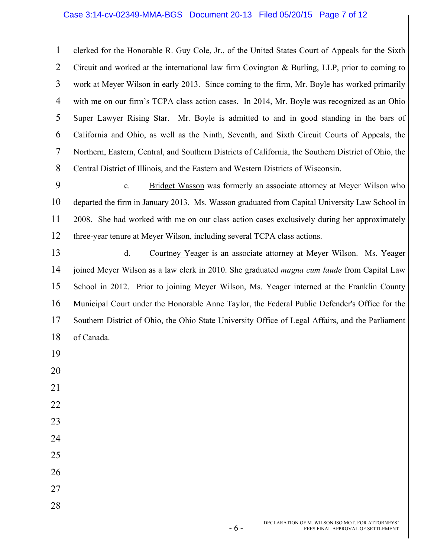#### Case 3:14-cv-02349-MMA-BGS Document 20-13 Filed 05/20/15 Page 7 of 12

1 2 3 4 5 6 7 8 clerked for the Honorable R. Guy Cole, Jr., of the United States Court of Appeals for the Sixth Circuit and worked at the international law firm Covington & Burling, LLP, prior to coming to work at Meyer Wilson in early 2013. Since coming to the firm, Mr. Boyle has worked primarily with me on our firm's TCPA class action cases. In 2014, Mr. Boyle was recognized as an Ohio Super Lawyer Rising Star. Mr. Boyle is admitted to and in good standing in the bars of California and Ohio, as well as the Ninth, Seventh, and Sixth Circuit Courts of Appeals, the Northern, Eastern, Central, and Southern Districts of California, the Southern District of Ohio, the Central District of Illinois, and the Eastern and Western Districts of Wisconsin.

9 10 11 12 c. Bridget Wasson was formerly an associate attorney at Meyer Wilson who departed the firm in January 2013. Ms. Wasson graduated from Capital University Law School in 2008. She had worked with me on our class action cases exclusively during her approximately three-year tenure at Meyer Wilson, including several TCPA class actions.

13 14 15 16 17 18 d. Courtney Yeager is an associate attorney at Meyer Wilson. Ms. Yeager joined Meyer Wilson as a law clerk in 2010. She graduated *magna cum laude* from Capital Law School in 2012. Prior to joining Meyer Wilson, Ms. Yeager interned at the Franklin County Municipal Court under the Honorable Anne Taylor, the Federal Public Defender's Office for the Southern District of Ohio, the Ohio State University Office of Legal Affairs, and the Parliament of Canada.

19

20

21

22

23

24

25

26

27

28

DECLARATION OF M. WILSON ISO MOT. FOR ATTORNEYS' - 6 - FEES FINAL APPROVAL OF SETTLEMENT FEES FINAL APPROVAL OF SETTLEMENT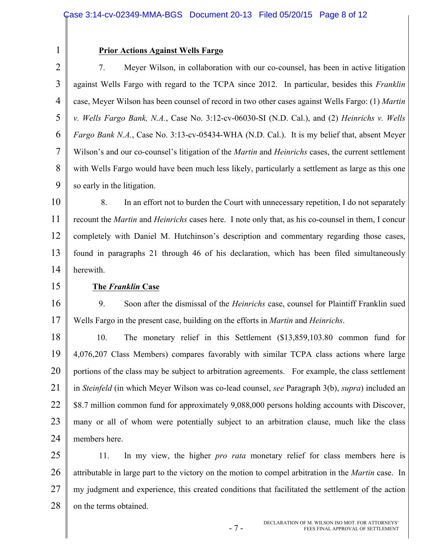#### Case 3:14-cv-02349-MMA-BGS Document 20-13 Filed 05/20/15 Page 8 of 12

#### **Prior Actions Against Wells Fargo**

2 3 4 5 6 7 8 9 7. Meyer Wilson, in collaboration with our co-counsel, has been in active litigation against Wells Fargo with regard to the TCPA since 2012. In particular, besides this *Franklin* case, Meyer Wilson has been counsel of record in two other cases against Wells Fargo: (1) *Martin v. Wells Fargo Bank, N.A.*, Case No. 3:12-cv-06030-SI (N.D. Cal.), and (2) *Heinrichs v. Wells Fargo Bank N.A.*, Case No. 3:13-cv-05434-WHA (N.D. Cal.). It is my belief that, absent Meyer Wilson's and our co-counsel's litigation of the *Martin* and *Heinrichs* cases, the current settlement with Wells Fargo would have been much less likely, particularly a settlement as large as this one so early in the litigation.

10 11 12 13 14 8. In an effort not to burden the Court with unnecessary repetition, I do not separately recount the *Martin* and *Heinrichs* cases here. I note only that, as his co-counsel in them, I concur completely with Daniel M. Hutchinson's description and commentary regarding those cases, found in paragraphs 21 through 46 of his declaration, which has been filed simultaneously herewith.

15

1

#### **The** *Franklin* **Case**

16 17 9. Soon after the dismissal of the *Heinrichs* case, counsel for Plaintiff Franklin sued Wells Fargo in the present case, building on the efforts in *Martin* and *Heinrichs*.

18 19 20 21 22 23 24 10. The monetary relief in this Settlement (\$13,859,103.80 common fund for 4,076,207 Class Members) compares favorably with similar TCPA class actions where large portions of the class may be subject to arbitration agreements. For example, the class settlement in *Steinfeld* (in which Meyer Wilson was co-lead counsel, *see* Paragraph 3(b), *supra*) included an \$8.7 million common fund for approximately 9,088,000 persons holding accounts with Discover, many or all of whom were potentially subject to an arbitration clause, much like the class members here.

25 26 27 28 11. In my view, the higher *pro rata* monetary relief for class members here is attributable in large part to the victory on the motion to compel arbitration in the *Martin* case. In my judgment and experience, this created conditions that facilitated the settlement of the action on the terms obtained.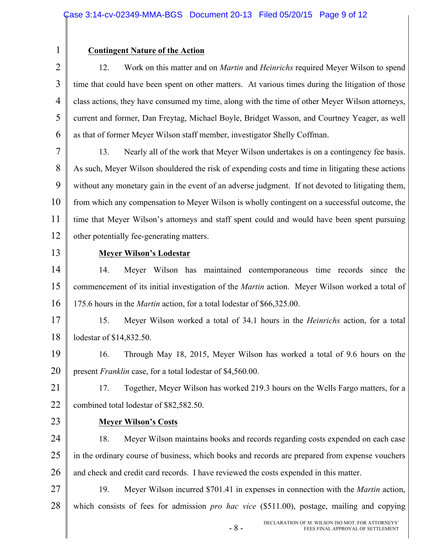#### **Contingent Nature of the Action**

2 3 4 5 6 12. Work on this matter and on *Martin* and *Heinrichs* required Meyer Wilson to spend time that could have been spent on other matters. At various times during the litigation of those class actions, they have consumed my time, along with the time of other Meyer Wilson attorneys, current and former, Dan Freytag, Michael Boyle, Bridget Wasson, and Courtney Yeager, as well as that of former Meyer Wilson staff member, investigator Shelly Coffman.

7 8 9 10 11 12 13. Nearly all of the work that Meyer Wilson undertakes is on a contingency fee basis. As such, Meyer Wilson shouldered the risk of expending costs and time in litigating these actions without any monetary gain in the event of an adverse judgment. If not devoted to litigating them, from which any compensation to Meyer Wilson is wholly contingent on a successful outcome, the time that Meyer Wilson's attorneys and staff spent could and would have been spent pursuing other potentially fee-generating matters.

13

1

#### **Meyer Wilson's Lodestar**

14 15 16 14. Meyer Wilson has maintained contemporaneous time records since the commencement of its initial investigation of the *Martin* action. Meyer Wilson worked a total of 175.6 hours in the *Martin* action, for a total lodestar of \$66,325.00.

17 18 15. Meyer Wilson worked a total of 34.1 hours in the *Heinrichs* action, for a total lodestar of \$14,832.50.

19 20 16. Through May 18, 2015, Meyer Wilson has worked a total of 9.6 hours on the present *Franklin* case, for a total lodestar of \$4,560.00.

21 22 17. Together, Meyer Wilson has worked 219.3 hours on the Wells Fargo matters, for a combined total lodestar of \$82,582.50.

23

#### **Meyer Wilson's Costs**

24 25 26 18. Meyer Wilson maintains books and records regarding costs expended on each case in the ordinary course of business, which books and records are prepared from expense vouchers and check and credit card records. I have reviewed the costs expended in this matter.

27 28 19. Meyer Wilson incurred \$701.41 in expenses in connection with the *Martin* action, which consists of fees for admission *pro hac vice* (\$511.00), postage, mailing and copying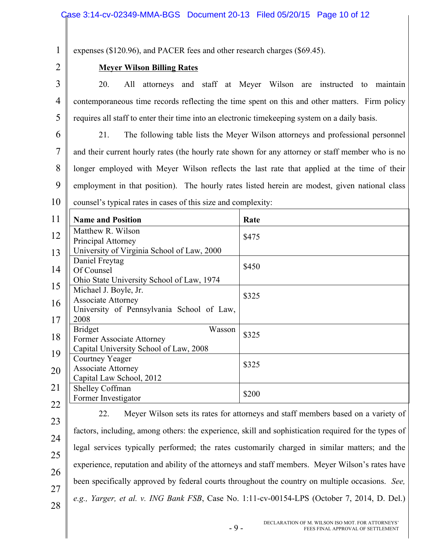expenses (\$120.96), and PACER fees and other research charges (\$69.45).

#### **Meyer Wilson Billing Rates**

3 4 5 20. All attorneys and staff at Meyer Wilson are instructed to maintain contemporaneous time records reflecting the time spent on this and other matters. Firm policy requires all staff to enter their time into an electronic timekeeping system on a daily basis.

6 7 8 9 10 21. The following table lists the Meyer Wilson attorneys and professional personnel and their current hourly rates (the hourly rate shown for any attorney or staff member who is no longer employed with Meyer Wilson reflects the last rate that applied at the time of their employment in that position). The hourly rates listed herein are modest, given national class counsel's typical rates in cases of this size and complexity:

| 11            | <b>Name and Position</b>                                                                        | Rate  |
|---------------|-------------------------------------------------------------------------------------------------|-------|
| 12            | Matthew R. Wilson<br>Principal Attorney                                                         | \$475 |
| 13            | University of Virginia School of Law, 2000                                                      |       |
| 14            | Daniel Freytag<br>Of Counsel                                                                    | \$450 |
| 15            | Ohio State University School of Law, 1974<br>Michael J. Boyle, Jr.                              |       |
| 16            | <b>Associate Attorney</b><br>University of Pennsylvania School of Law,                          | \$325 |
| 17            | 2008                                                                                            |       |
| 18            | <b>Bridget</b><br>Wasson<br>Former Associate Attorney<br>Capital University School of Law, 2008 | \$325 |
| 19            | <b>Courtney Yeager</b>                                                                          |       |
| 20            | <b>Associate Attorney</b><br>Capital Law School, 2012                                           | \$325 |
| 21            | Shelley Coffman<br>Former Investigator                                                          | \$200 |
| $\sim$ $\sim$ |                                                                                                 |       |

22

1

2

23

24 25 26 27 28 22. Meyer Wilson sets its rates for attorneys and staff members based on a variety of factors, including, among others: the experience, skill and sophistication required for the types of legal services typically performed; the rates customarily charged in similar matters; and the experience, reputation and ability of the attorneys and staff members. Meyer Wilson's rates have been specifically approved by federal courts throughout the country on multiple occasions. *See, e.g., Yarger, et al. v. ING Bank FSB*, Case No. 1:11-cv-00154-LPS (October 7, 2014, D. Del.)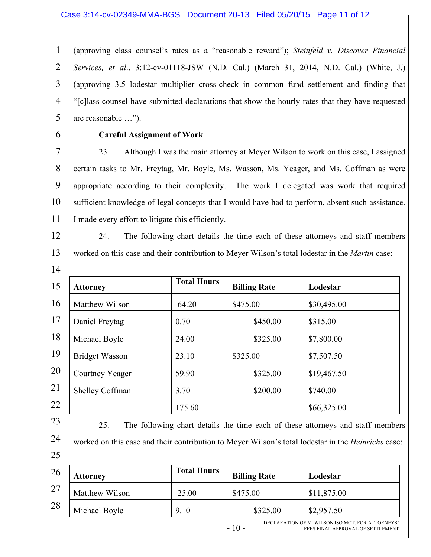#### Case 3:14-cv-02349-MMA-BGS Document 20-13 Filed 05/20/15 Page 11 of 12

1 2 3 4 5 (approving class counsel's rates as a "reasonable reward"); *Steinfeld v. Discover Financial Services, et al*., 3:12-cv-01118-JSW (N.D. Cal.) (March 31, 2014, N.D. Cal.) (White, J.) (approving 3.5 lodestar multiplier cross-check in common fund settlement and finding that "[c]lass counsel have submitted declarations that show the hourly rates that they have requested are reasonable …").

6

#### **Careful Assignment of Work**

7 8 9 10 11 23. Although I was the main attorney at Meyer Wilson to work on this case, I assigned certain tasks to Mr. Freytag, Mr. Boyle, Ms. Wasson, Ms. Yeager, and Ms. Coffman as were appropriate according to their complexity. The work I delegated was work that required sufficient knowledge of legal concepts that I would have had to perform, absent such assistance. I made every effort to litigate this efficiently.

12

13

14

24. The following chart details the time each of these attorneys and staff members worked on this case and their contribution to Meyer Wilson's total lodestar in the *Martin* case:

| 15 | <b>Attorney</b>       | <b>Total Hours</b> | <b>Billing Rate</b> | Lodestar    |
|----|-----------------------|--------------------|---------------------|-------------|
| 16 | Matthew Wilson        | 64.20              | \$475.00            | \$30,495.00 |
| 17 | Daniel Freytag        | 0.70               | \$450.00            | \$315.00    |
| 18 | Michael Boyle         | 24.00              | \$325.00            | \$7,800.00  |
| 19 | <b>Bridget Wasson</b> | 23.10              | \$325.00            | \$7,507.50  |
| 20 | Courtney Yeager       | 59.90              | \$325.00            | \$19,467.50 |
| 21 | Shelley Coffman       | 3.70               | \$200.00            | \$740.00    |
| 22 |                       | 175.60             |                     | \$66,325.00 |



25

25. The following chart details the time each of these attorneys and staff members worked on this case and their contribution to Meyer Wilson's total lodestar in the *Heinrichs* case:

| 26 | Attorney       | <b>Total Hours</b> | <b>Billing Rate</b> | Lodestar    |
|----|----------------|--------------------|---------------------|-------------|
| 27 | Matthew Wilson | 25.00              | \$475.00            | \$11,875.00 |
| 28 | Michael Boyle  | 9.10               | \$325.00            | \$2,957.50  |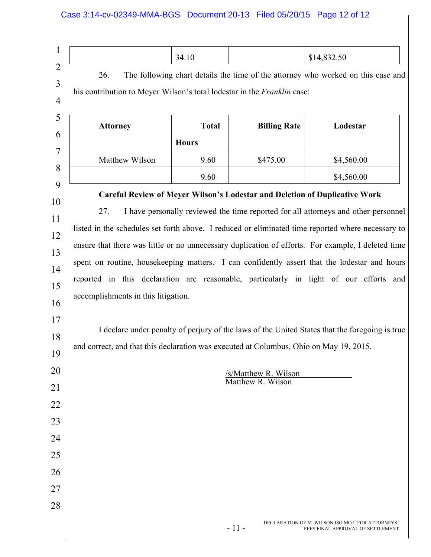| The following chart details the time of the attorney who worked on this case and<br>26.<br>his contribution to Meyer Wilson's total lodestar in the Franklin case:<br><b>Total</b><br><b>Billing Rate</b><br>Lodestar<br><b>Attorney</b><br><b>Hours</b><br>Matthew Wilson<br>9.60<br>\$4,560.00<br>\$475.00<br>9.60<br>\$4,560.00<br><b>Careful Review of Meyer Wilson's Lodestar and Deletion of Duplicative Work</b><br>27.<br>I have personally reviewed the time reported for all attorneys and other personnel<br>listed in the schedules set forth above. I reduced or eliminated time reported where necessary to<br>ensure that there was little or no unnecessary duplication of efforts. For example, I deleted time<br>spent on routine, housekeeping matters. I can confidently assert that the lodestar and hours<br>reported in this declaration are reasonable, particularly in light of our efforts and<br>accomplishments in this litigation.<br>and correct, and that this declaration was executed at Columbus, Ohio on May 19, 2015.<br>/s/Matthew R. Wilson<br>Matthew R. Wilson |                                                                                                | 34.10 |  | \$14,832.50 |
|--------------------------------------------------------------------------------------------------------------------------------------------------------------------------------------------------------------------------------------------------------------------------------------------------------------------------------------------------------------------------------------------------------------------------------------------------------------------------------------------------------------------------------------------------------------------------------------------------------------------------------------------------------------------------------------------------------------------------------------------------------------------------------------------------------------------------------------------------------------------------------------------------------------------------------------------------------------------------------------------------------------------------------------------------------------------------------------------------------|------------------------------------------------------------------------------------------------|-------|--|-------------|
|                                                                                                                                                                                                                                                                                                                                                                                                                                                                                                                                                                                                                                                                                                                                                                                                                                                                                                                                                                                                                                                                                                        |                                                                                                |       |  |             |
|                                                                                                                                                                                                                                                                                                                                                                                                                                                                                                                                                                                                                                                                                                                                                                                                                                                                                                                                                                                                                                                                                                        |                                                                                                |       |  |             |
|                                                                                                                                                                                                                                                                                                                                                                                                                                                                                                                                                                                                                                                                                                                                                                                                                                                                                                                                                                                                                                                                                                        |                                                                                                |       |  |             |
|                                                                                                                                                                                                                                                                                                                                                                                                                                                                                                                                                                                                                                                                                                                                                                                                                                                                                                                                                                                                                                                                                                        |                                                                                                |       |  |             |
|                                                                                                                                                                                                                                                                                                                                                                                                                                                                                                                                                                                                                                                                                                                                                                                                                                                                                                                                                                                                                                                                                                        |                                                                                                |       |  |             |
|                                                                                                                                                                                                                                                                                                                                                                                                                                                                                                                                                                                                                                                                                                                                                                                                                                                                                                                                                                                                                                                                                                        |                                                                                                |       |  |             |
|                                                                                                                                                                                                                                                                                                                                                                                                                                                                                                                                                                                                                                                                                                                                                                                                                                                                                                                                                                                                                                                                                                        |                                                                                                |       |  |             |
|                                                                                                                                                                                                                                                                                                                                                                                                                                                                                                                                                                                                                                                                                                                                                                                                                                                                                                                                                                                                                                                                                                        |                                                                                                |       |  |             |
|                                                                                                                                                                                                                                                                                                                                                                                                                                                                                                                                                                                                                                                                                                                                                                                                                                                                                                                                                                                                                                                                                                        |                                                                                                |       |  |             |
|                                                                                                                                                                                                                                                                                                                                                                                                                                                                                                                                                                                                                                                                                                                                                                                                                                                                                                                                                                                                                                                                                                        |                                                                                                |       |  |             |
|                                                                                                                                                                                                                                                                                                                                                                                                                                                                                                                                                                                                                                                                                                                                                                                                                                                                                                                                                                                                                                                                                                        |                                                                                                |       |  |             |
|                                                                                                                                                                                                                                                                                                                                                                                                                                                                                                                                                                                                                                                                                                                                                                                                                                                                                                                                                                                                                                                                                                        |                                                                                                |       |  |             |
|                                                                                                                                                                                                                                                                                                                                                                                                                                                                                                                                                                                                                                                                                                                                                                                                                                                                                                                                                                                                                                                                                                        |                                                                                                |       |  |             |
|                                                                                                                                                                                                                                                                                                                                                                                                                                                                                                                                                                                                                                                                                                                                                                                                                                                                                                                                                                                                                                                                                                        |                                                                                                |       |  |             |
|                                                                                                                                                                                                                                                                                                                                                                                                                                                                                                                                                                                                                                                                                                                                                                                                                                                                                                                                                                                                                                                                                                        | I declare under penalty of perjury of the laws of the United States that the foregoing is true |       |  |             |
|                                                                                                                                                                                                                                                                                                                                                                                                                                                                                                                                                                                                                                                                                                                                                                                                                                                                                                                                                                                                                                                                                                        |                                                                                                |       |  |             |
|                                                                                                                                                                                                                                                                                                                                                                                                                                                                                                                                                                                                                                                                                                                                                                                                                                                                                                                                                                                                                                                                                                        |                                                                                                |       |  |             |
|                                                                                                                                                                                                                                                                                                                                                                                                                                                                                                                                                                                                                                                                                                                                                                                                                                                                                                                                                                                                                                                                                                        |                                                                                                |       |  |             |
|                                                                                                                                                                                                                                                                                                                                                                                                                                                                                                                                                                                                                                                                                                                                                                                                                                                                                                                                                                                                                                                                                                        |                                                                                                |       |  |             |
|                                                                                                                                                                                                                                                                                                                                                                                                                                                                                                                                                                                                                                                                                                                                                                                                                                                                                                                                                                                                                                                                                                        |                                                                                                |       |  |             |
|                                                                                                                                                                                                                                                                                                                                                                                                                                                                                                                                                                                                                                                                                                                                                                                                                                                                                                                                                                                                                                                                                                        |                                                                                                |       |  |             |
|                                                                                                                                                                                                                                                                                                                                                                                                                                                                                                                                                                                                                                                                                                                                                                                                                                                                                                                                                                                                                                                                                                        |                                                                                                |       |  |             |
|                                                                                                                                                                                                                                                                                                                                                                                                                                                                                                                                                                                                                                                                                                                                                                                                                                                                                                                                                                                                                                                                                                        |                                                                                                |       |  |             |
|                                                                                                                                                                                                                                                                                                                                                                                                                                                                                                                                                                                                                                                                                                                                                                                                                                                                                                                                                                                                                                                                                                        |                                                                                                |       |  |             |
|                                                                                                                                                                                                                                                                                                                                                                                                                                                                                                                                                                                                                                                                                                                                                                                                                                                                                                                                                                                                                                                                                                        |                                                                                                |       |  |             |
| DECLARATION OF M. WILSON ISO MOT. FOR ATTORNEYS'                                                                                                                                                                                                                                                                                                                                                                                                                                                                                                                                                                                                                                                                                                                                                                                                                                                                                                                                                                                                                                                       |                                                                                                |       |  |             |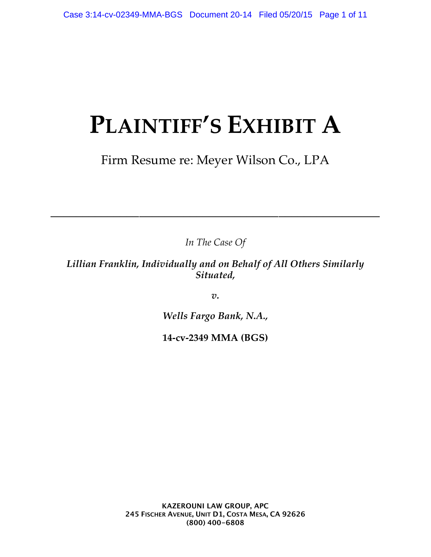# **PLAINTIFF'S EXHIBIT A**

### Firm Resume re: Meyer Wilson Co., LPA

*In The Case Of*

––––––––––––––––––––––––––––––––––––––––––––––––––––

*Lillian Franklin, Individually and on Behalf of All Others Similarly Situated,*

*v.*

*Wells Fargo Bank, N.A.,*

**14-cv-2349 MMA (BGS)**

**KAZEROUNI LAW GROUP, APC 245 FISCHER AVENUE, UNIT D1, COSTA MESA, CA 92626 (800) 400-6808**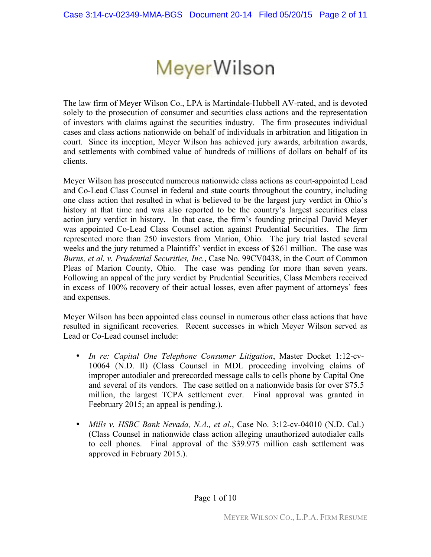## **MeyerWilson**

The law firm of Meyer Wilson Co., LPA is Martindale-Hubbell AV-rated, and is devoted solely to the prosecution of consumer and securities class actions and the representation of investors with claims against the securities industry. The firm prosecutes individual cases and class actions nationwide on behalf of individuals in arbitration and litigation in court. Since its inception, Meyer Wilson has achieved jury awards, arbitration awards, and settlements with combined value of hundreds of millions of dollars on behalf of its clients.

Meyer Wilson has prosecuted numerous nationwide class actions as court-appointed Lead and Co-Lead Class Counsel in federal and state courts throughout the country, including one class action that resulted in what is believed to be the largest jury verdict in Ohio's history at that time and was also reported to be the country's largest securities class action jury verdict in history. In that case, the firm's founding principal David Meyer was appointed Co-Lead Class Counsel action against Prudential Securities. The firm represented more than 250 investors from Marion, Ohio. The jury trial lasted several weeks and the jury returned a Plaintiffs' verdict in excess of \$261 million. The case was *Burns, et al. v. Prudential Securities, Inc.*, Case No. 99CV0438, in the Court of Common Pleas of Marion County, Ohio. The case was pending for more than seven years. Following an appeal of the jury verdict by Prudential Securities, Class Members received in excess of 100% recovery of their actual losses, even after payment of attorneys' fees and expenses.

Meyer Wilson has been appointed class counsel in numerous other class actions that have resulted in significant recoveries. Recent successes in which Meyer Wilson served as Lead or Co-Lead counsel include:

- *In re: Capital One Telephone Consumer Litigation*, Master Docket 1:12-cv-10064 (N.D. Il) (Class Counsel in MDL proceeding involving claims of improper autodialer and prerecorded message calls to cells phone by Capital One and several of its vendors. The case settled on a nationwide basis for over \$75.5 million, the largest TCPA settlement ever. Final approval was granted in Feebruary 2015; an appeal is pending.).
- *Mills v. HSBC Bank Nevada, N.A., et al.*, Case No. 3:12-cv-04010 (N.D. Cal.) (Class Counsel in nationwide class action alleging unauthorized autodialer calls to cell phones. Final approval of the \$39.975 million cash settlement was approved in February 2015.).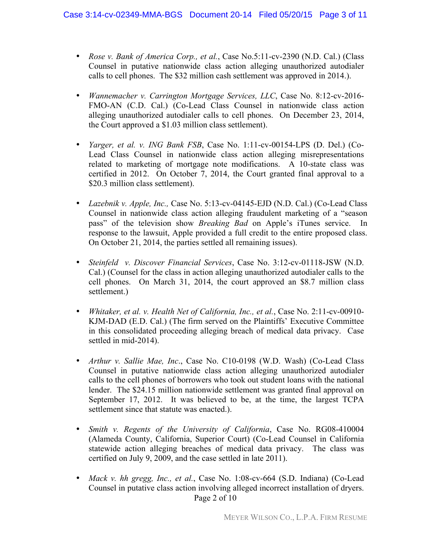- *Rose v. Bank of America Corp., et al.*, Case No.5:11-cv-2390 (N.D. Cal.) (Class Counsel in putative nationwide class action alleging unauthorized autodialer calls to cell phones. The \$32 million cash settlement was approved in 2014.).
- *Wannemacher v. Carrington Mortgage Services, LLC*, Case No. 8:12-cv-2016- FMO-AN (C.D. Cal.) (Co-Lead Class Counsel in nationwide class action alleging unauthorized autodialer calls to cell phones. On December 23, 2014, the Court approved a \$1.03 million class settlement).
- *Yarger, et al. v. ING Bank FSB*, Case No. 1:11-cv-00154-LPS (D. Del.) (Co-Lead Class Counsel in nationwide class action alleging misrepresentations related to marketing of mortgage note modifications. A 10-state class was certified in 2012. On October 7, 2014, the Court granted final approval to a \$20.3 million class settlement).
- *Lazebnik v. Apple, Inc.,* Case No. 5:13-cv-04145-EJD (N.D. Cal.) (Co-Lead Class Counsel in nationwide class action alleging fraudulent marketing of a "season pass" of the television show *Breaking Bad* on Apple's iTunes service. In response to the lawsuit, Apple provided a full credit to the entire proposed class. On October 21, 2014, the parties settled all remaining issues).
- *Steinfeld v. Discover Financial Services*, Case No. 3:12-cv-01118-JSW (N.D. Cal.) (Counsel for the class in action alleging unauthorized autodialer calls to the cell phones. On March 31, 2014, the court approved an \$8.7 million class settlement.)
- *Whitaker, et al. v. Health Net of California, Inc., et al.*, Case No. 2:11-cv-00910- KJM-DAD (E.D. Cal.) (The firm served on the Plaintiffs' Executive Committee in this consolidated proceeding alleging breach of medical data privacy. Case settled in mid-2014).
- *Arthur v. Sallie Mae, Inc*., Case No. C10-0198 (W.D. Wash) (Co-Lead Class Counsel in putative nationwide class action alleging unauthorized autodialer calls to the cell phones of borrowers who took out student loans with the national lender. The \$24.15 million nationwide settlement was granted final approval on September 17, 2012. It was believed to be, at the time, the largest TCPA settlement since that statute was enacted.).
- *Smith v. Regents of the University of California*, Case No. RG08-410004 (Alameda County, California, Superior Court) (Co-Lead Counsel in California statewide action alleging breaches of medical data privacy. The class was certified on July 9, 2009, and the case settled in late 2011).
- Page 2 of 10 • *Mack v. hh gregg, Inc., et al., Case No.* 1:08-cv-664 (S.D. Indiana) (Co-Lead Counsel in putative class action involving alleged incorrect installation of dryers.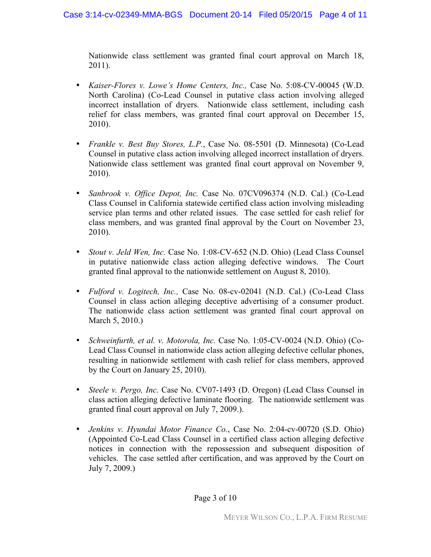Nationwide class settlement was granted final court approval on March 18, 2011).

- *Kaiser-Flores v. Lowe's Home Centers, Inc.,* Case No. 5:08-CV-00045 (W.D. North Carolina) (Co-Lead Counsel in putative class action involving alleged incorrect installation of dryers. Nationwide class settlement, including cash relief for class members, was granted final court approval on December 15, 2010).
- *Frankle v. Best Buy Stores, L.P.*, Case No. 08-5501 (D. Minnesota) (Co-Lead Counsel in putative class action involving alleged incorrect installation of dryers. Nationwide class settlement was granted final court approval on November 9, 2010).
- *Sanbrook v. Office Depot, Inc.* Case No. 07CV096374 (N.D. Cal.) (Co-Lead Class Counsel in California statewide certified class action involving misleading service plan terms and other related issues. The case settled for cash relief for class members, and was granted final approval by the Court on November 23, 2010).
- *Stout v. Jeld Wen, Inc.* Case No. 1:08-CV-652 (N.D. Ohio) (Lead Class Counsel in putative nationwide class action alleging defective windows. The Court granted final approval to the nationwide settlement on August 8, 2010).
- *Fulford v. Logitech, Inc.,* Case No. 08-cv-02041 (N.D. Cal.) (Co-Lead Class Counsel in class action alleging deceptive advertising of a consumer product. The nationwide class action settlement was granted final court approval on March 5, 2010.)
- *Schweinfurth, et al. v. Motorola, Inc.* Case No. 1:05-CV-0024 (N.D. Ohio) (Co-Lead Class Counsel in nationwide class action alleging defective cellular phones, resulting in nationwide settlement with cash relief for class members, approved by the Court on January 25, 2010).
- *Steele v. Pergo, Inc.* Case No. CV07-1493 (D. Oregon) (Lead Class Counsel in class action alleging defective laminate flooring. The nationwide settlement was granted final court approval on July 7, 2009.).
- *Jenkins v. Hyundai Motor Finance Co.*, Case No. 2:04-cv-00720 (S.D. Ohio) (Appointed Co-Lead Class Counsel in a certified class action alleging defective notices in connection with the repossession and subsequent disposition of vehicles. The case settled after certification, and was approved by the Court on July 7, 2009.)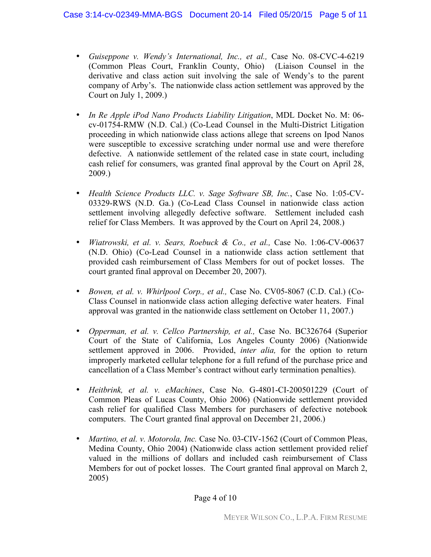#### Case 3:14-cv-02349-MMA-BGS Document 20-14 Filed 05/20/15 Page 5 of 11

- *Guiseppone v. Wendy's International, Inc., et al.,* Case No. 08-CVC-4-6219 (Common Pleas Court, Franklin County, Ohio) (Liaison Counsel in the derivative and class action suit involving the sale of Wendy's to the parent company of Arby's. The nationwide class action settlement was approved by the Court on July 1, 2009.)
- *In Re Apple iPod Nano Products Liability Litigation*, MDL Docket No. M: 06 cv-01754-RMW (N.D. Cal.) (Co-Lead Counsel in the Multi-District Litigation proceeding in which nationwide class actions allege that screens on Ipod Nanos were susceptible to excessive scratching under normal use and were therefore defective. A nationwide settlement of the related case in state court, including cash relief for consumers, was granted final approval by the Court on April 28, 2009.)
- *Health Science Products LLC. v. Sage Software SB, Inc.*, Case No. 1:05-CV-03329-RWS (N.D. Ga.) (Co-Lead Class Counsel in nationwide class action settlement involving allegedly defective software. Settlement included cash relief for Class Members. It was approved by the Court on April 24, 2008.)
- *Wiatrowski, et al. v. Sears, Roebuck & Co., et al.,* Case No. 1:06-CV-00637 (N.D. Ohio) (Co-Lead Counsel in a nationwide class action settlement that provided cash reimbursement of Class Members for out of pocket losses. The court granted final approval on December 20, 2007).
- *Bowen, et al. v. Whirlpool Corp., et al.,* Case No. CV05-8067 (C.D. Cal.) (Co-Class Counsel in nationwide class action alleging defective water heaters. Final approval was granted in the nationwide class settlement on October 11, 2007.)
- *Opperman, et al. v. Cellco Partnership, et al.,* Case No. BC326764 (Superior Court of the State of California, Los Angeles County 2006) (Nationwide settlement approved in 2006. Provided, *inter alia,* for the option to return improperly marketed cellular telephone for a full refund of the purchase price and cancellation of a Class Member's contract without early termination penalties).
- *Heitbrink, et al. v. eMachines*, Case No. G-4801-CI-200501229 (Court of Common Pleas of Lucas County, Ohio 2006) (Nationwide settlement provided cash relief for qualified Class Members for purchasers of defective notebook computers. The Court granted final approval on December 21, 2006.)
- *Martino, et al. v. Motorola, Inc.* Case No. 03-CIV-1562 (Court of Common Pleas, Medina County, Ohio 2004) (Nationwide class action settlement provided relief valued in the millions of dollars and included cash reimbursement of Class Members for out of pocket losses. The Court granted final approval on March 2, 2005)

#### Page 4 of 10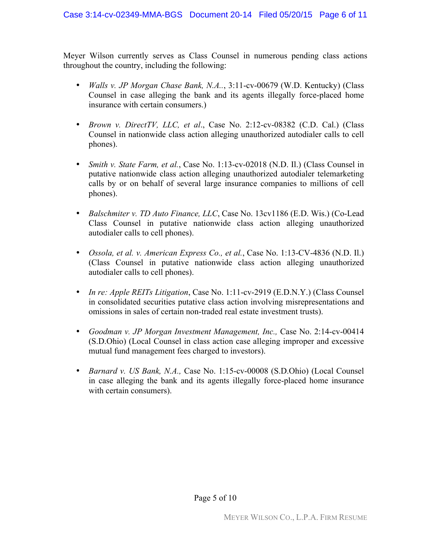Meyer Wilson currently serves as Class Counsel in numerous pending class actions throughout the country, including the following:

- *Walls v. JP Morgan Chase Bank, N.A..*, 3:11-cv-00679 (W.D. Kentucky) (Class Counsel in case alleging the bank and its agents illegally force-placed home insurance with certain consumers.)
- *Brown v. DirectTV, LLC, et al*., Case No. 2:12-cv-08382 (C.D. Cal.) (Class Counsel in nationwide class action alleging unauthorized autodialer calls to cell phones).
- *Smith v. State Farm, et al., Case No.* 1:13-cv-02018 (N.D. Il.) (Class Counsel in putative nationwide class action alleging unauthorized autodialer telemarketing calls by or on behalf of several large insurance companies to millions of cell phones).
- *Balschmiter v. TD Auto Finance, LLC*, Case No. 13cv1186 (E.D. Wis.) (Co-Lead Class Counsel in putative nationwide class action alleging unauthorized autodialer calls to cell phones).
- *Ossola, et al. v. American Express Co., et al.*, Case No. 1:13-CV-4836 (N.D. Il.) (Class Counsel in putative nationwide class action alleging unauthorized autodialer calls to cell phones).
- *In re: Apple REITs Litigation*, Case No. 1:11-cv-2919 (E.D.N.Y.) (Class Counsel in consolidated securities putative class action involving misrepresentations and omissions in sales of certain non-traded real estate investment trusts).
- *Goodman v. JP Morgan Investment Management, Inc.,* Case No. 2:14-cv-00414 (S.D.Ohio) (Local Counsel in class action case alleging improper and excessive mutual fund management fees charged to investors).
- *Barnard v. US Bank, N.A.,* Case No. 1:15-cv-00008 (S.D.Ohio) (Local Counsel in case alleging the bank and its agents illegally force-placed home insurance with certain consumers).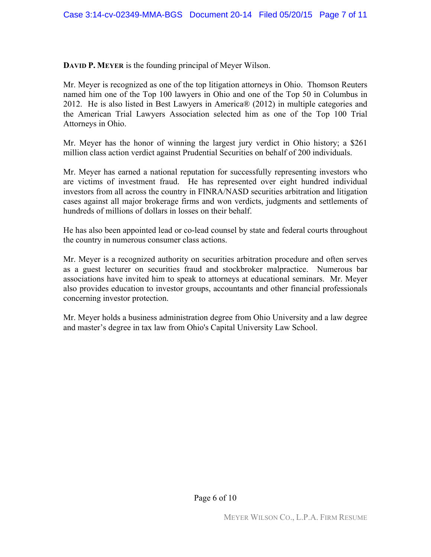**DAVID P. MEYER** is the founding principal of Meyer Wilson.

Mr. Meyer is recognized as one of the top litigation attorneys in Ohio. Thomson Reuters named him one of the Top 100 lawyers in Ohio and one of the Top 50 in Columbus in 2012. He is also listed in Best Lawyers in America® (2012) in multiple categories and the American Trial Lawyers Association selected him as one of the Top 100 Trial Attorneys in Ohio.

Mr. Meyer has the honor of winning the largest jury verdict in Ohio history; a \$261 million class action verdict against Prudential Securities on behalf of 200 individuals.

Mr. Meyer has earned a national reputation for successfully representing investors who are victims of investment fraud. He has represented over eight hundred individual investors from all across the country in FINRA/NASD securities arbitration and litigation cases against all major brokerage firms and won verdicts, judgments and settlements of hundreds of millions of dollars in losses on their behalf.

He has also been appointed lead or co-lead counsel by state and federal courts throughout the country in numerous consumer class actions.

Mr. Meyer is a recognized authority on securities arbitration procedure and often serves as a guest lecturer on securities fraud and stockbroker malpractice. Numerous bar associations have invited him to speak to attorneys at educational seminars. Mr. Meyer also provides education to investor groups, accountants and other financial professionals concerning investor protection.

Mr. Meyer holds a business administration degree from Ohio University and a law degree and master's degree in tax law from Ohio's Capital University Law School.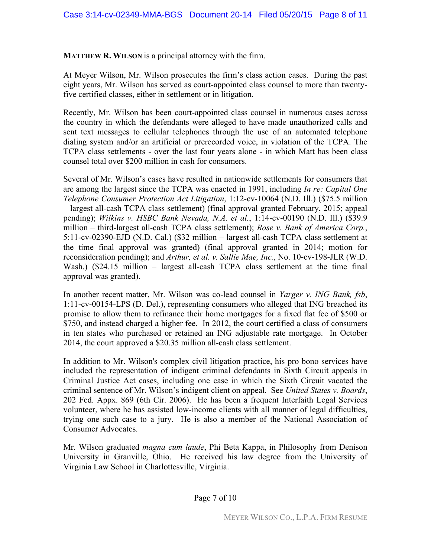**MATTHEW R. WILSON** is a principal attorney with the firm.

At Meyer Wilson, Mr. Wilson prosecutes the firm's class action cases. During the past eight years, Mr. Wilson has served as court-appointed class counsel to more than twentyfive certified classes, either in settlement or in litigation.

Recently, Mr. Wilson has been court-appointed class counsel in numerous cases across the country in which the defendants were alleged to have made unauthorized calls and sent text messages to cellular telephones through the use of an automated telephone dialing system and/or an artificial or prerecorded voice, in violation of the TCPA. The TCPA class settlements - over the last four years alone - in which Matt has been class counsel total over \$200 million in cash for consumers.

Several of Mr. Wilson's cases have resulted in nationwide settlements for consumers that are among the largest since the TCPA was enacted in 1991, including *In re: Capital One Telephone Consumer Protection Act Litigation*, 1:12-cv-10064 (N.D. Ill.) (\$75.5 million – largest all-cash TCPA class settlement) (final approval granted February, 2015; appeal pending); *Wilkins v. HSBC Bank Nevada, N.A. et al.*, 1:14-cv-00190 (N.D. Ill.) (\$39.9 million – third-largest all-cash TCPA class settlement); *Rose v. Bank of America Corp.*, 5:11-cv-02390-EJD (N.D. Cal.) (\$32 million – largest all-cash TCPA class settlement at the time final approval was granted) (final approval granted in 2014; motion for reconsideration pending); and *Arthur, et al. v. Sallie Mae, Inc.*, No. 10-cv-198-JLR (W.D. Wash.) (\$24.15 million – largest all-cash TCPA class settlement at the time final approval was granted).

In another recent matter, Mr. Wilson was co-lead counsel in *Yarger v. ING Bank, fsb*, 1:11-cv-00154-LPS (D. Del.), representing consumers who alleged that ING breached its promise to allow them to refinance their home mortgages for a fixed flat fee of \$500 or \$750, and instead charged a higher fee. In 2012, the court certified a class of consumers in ten states who purchased or retained an ING adjustable rate mortgage. In October 2014, the court approved a \$20.35 million all-cash class settlement.

In addition to Mr. Wilson's complex civil litigation practice, his pro bono services have included the representation of indigent criminal defendants in Sixth Circuit appeals in Criminal Justice Act cases, including one case in which the Sixth Circuit vacated the criminal sentence of Mr. Wilson's indigent client on appeal. See *United States v. Boards*, 202 Fed. Appx. 869 (6th Cir. 2006). He has been a frequent Interfaith Legal Services volunteer, where he has assisted low-income clients with all manner of legal difficulties, trying one such case to a jury. He is also a member of the National Association of Consumer Advocates.

Mr. Wilson graduated *magna cum laude*, Phi Beta Kappa, in Philosophy from Denison University in Granville, Ohio. He received his law degree from the University of Virginia Law School in Charlottesville, Virginia.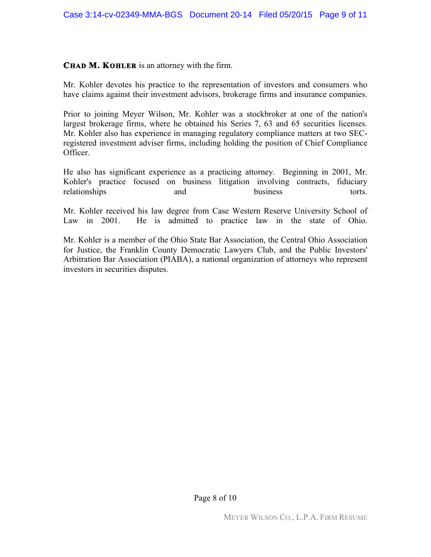#### **CHAD M. KOHLER** is an attorney with the firm.

Mr. Kohler devotes his practice to the representation of investors and consumers who have claims against their investment advisors, brokerage firms and insurance companies.

Prior to joining Meyer Wilson, Mr. Kohler was a stockbroker at one of the nation's largest brokerage firms, where he obtained his Series 7, 63 and 65 securities licenses. Mr. Kohler also has experience in managing regulatory compliance matters at two SECregistered investment adviser firms, including holding the position of Chief Compliance Officer.

He also has significant experience as a practicing attorney. Beginning in 2001, Mr. Kohler's practice focused on business litigation involving contracts, fiduciary relationships and business torts.

Mr. Kohler received his law degree from Case Western Reserve University School of Law in 2001. He is admitted to practice law in the state of Ohio.

Mr. Kohler is a member of the Ohio State Bar Association, the Central Ohio Association for Justice, the Franklin County Democratic Lawyers Club, and the Public Investors' Arbitration Bar Association (PIABA), a national organization of attorneys who represent investors in securities disputes.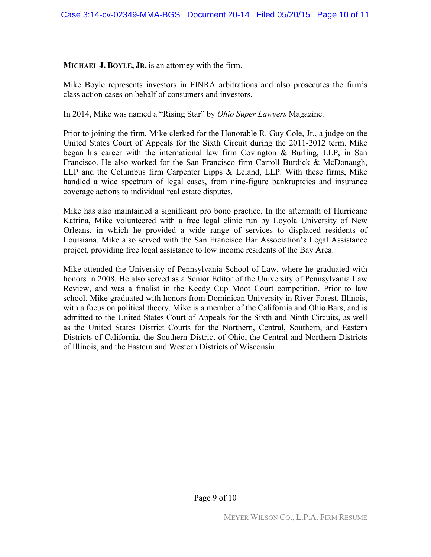#### **MICHAEL J. BOYLE, JR.** is an attorney with the firm.

Mike Boyle represents investors in FINRA arbitrations and also prosecutes the firm's class action cases on behalf of consumers and investors.

In 2014, Mike was named a "Rising Star" by *Ohio Super Lawyers* Magazine.

Prior to joining the firm, Mike clerked for the Honorable R. Guy Cole, Jr., a judge on the United States Court of Appeals for the Sixth Circuit during the 2011-2012 term. Mike began his career with the international law firm Covington & Burling, LLP, in San Francisco. He also worked for the San Francisco firm Carroll Burdick & McDonaugh, LLP and the Columbus firm Carpenter Lipps & Leland, LLP. With these firms, Mike handled a wide spectrum of legal cases, from nine-figure bankruptcies and insurance coverage actions to individual real estate disputes.

Mike has also maintained a significant pro bono practice. In the aftermath of Hurricane Katrina, Mike volunteered with a free legal clinic run by Loyola University of New Orleans, in which he provided a wide range of services to displaced residents of Louisiana. Mike also served with the San Francisco Bar Association's Legal Assistance project, providing free legal assistance to low income residents of the Bay Area.

Mike attended the University of Pennsylvania School of Law, where he graduated with honors in 2008. He also served as a Senior Editor of the University of Pennsylvania Law Review, and was a finalist in the Keedy Cup Moot Court competition. Prior to law school, Mike graduated with honors from Dominican University in River Forest, Illinois, with a focus on political theory. Mike is a member of the California and Ohio Bars, and is admitted to the United States Court of Appeals for the Sixth and Ninth Circuits, as well as the United States District Courts for the Northern, Central, Southern, and Eastern Districts of California, the Southern District of Ohio, the Central and Northern Districts of Illinois, and the Eastern and Western Districts of Wisconsin.